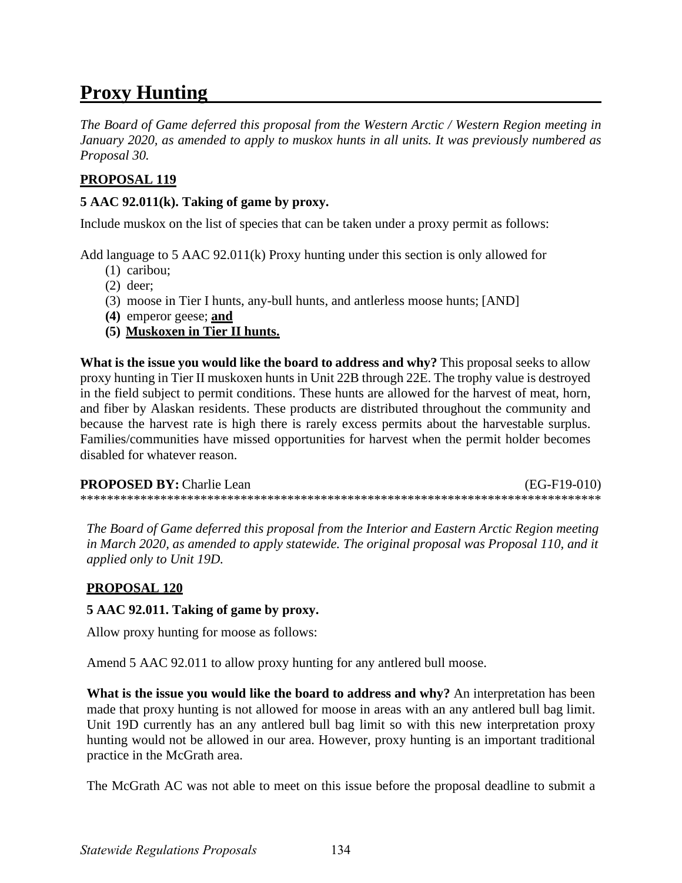# **Proxy Hunting**

*The Board of Game deferred this proposal from the Western Arctic / Western Region meeting in January 2020, as amended to apply to muskox hunts in all units. It was previously numbered as Proposal 30.* 

## **PROPOSAL 119**

### **5 AAC 92.011(k). Taking of game by proxy.**

Include muskox on the list of species that can be taken under a proxy permit as follows:

Add language to 5 AAC 92.011(k) Proxy hunting under this section is only allowed for

- (1) caribou;
- (2) deer;
- (3) moose in Tier I hunts, any-bull hunts, and antlerless moose hunts; [AND]
- **(4)** emperor geese; **and**
- **(5) Muskoxen in Tier II hunts.**

**What is the issue you would like the board to address and why?** This proposal seeks to allow proxy hunting in Tier II muskoxen hunts in Unit 22B through 22E. The trophy value is destroyed in the field subject to permit conditions. These hunts are allowed for the harvest of meat, horn, and fiber by Alaskan residents. These products are distributed throughout the community and because the harvest rate is high there is rarely excess permits about the harvestable surplus. Families/communities have missed opportunities for harvest when the permit holder becomes disabled for whatever reason.

**PROPOSED BY:** Charlie Lean (EG-F19-010) \*\*\*\*\*\*\*\*\*\*\*\*\*\*\*\*\*\*\*\*\*\*\*\*\*\*\*\*\*\*\*\*\*\*\*\*\*\*\*\*\*\*\*\*\*\*\*\*\*\*\*\*\*\*\*\*\*\*\*\*\*\*\*\*\*\*\*\*\*\*\*\*\*\*\*\*\*\*

*The Board of Game deferred this proposal from the Interior and Eastern Arctic Region meeting in March 2020, as amended to apply statewide. The original proposal was Proposal 110, and it applied only to Unit 19D.* 

### **PROPOSAL 120**

### **5 AAC 92.011. Taking of game by proxy.**

Allow proxy hunting for moose as follows:

Amend 5 AAC 92.011 to allow proxy hunting for any antlered bull moose.

**What is the issue you would like the board to address and why?** An interpretation has been made that proxy hunting is not allowed for moose in areas with an any antlered bull bag limit. Unit 19D currently has an any antlered bull bag limit so with this new interpretation proxy hunting would not be allowed in our area. However, proxy hunting is an important traditional practice in the McGrath area.

The McGrath AC was not able to meet on this issue before the proposal deadline to submit a